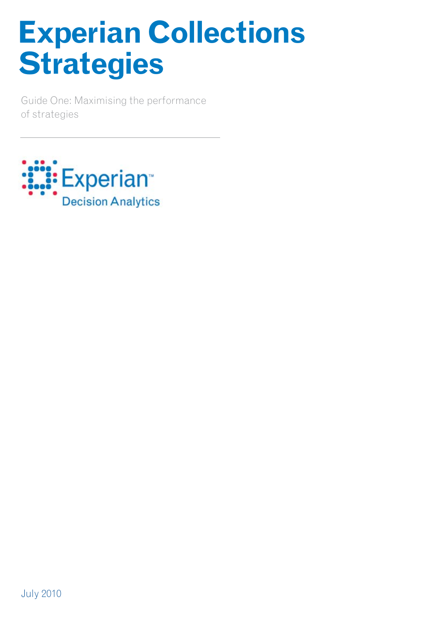# **Experian Collections Strategies**

Guide One: Maximising the performance of strategies

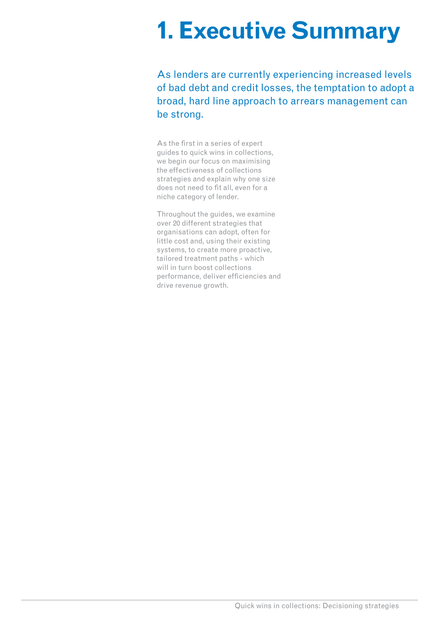### **1. Executive Summary**

As lenders are currently experiencing increased levels of bad debt and credit losses, the temptation to adopt a broad, hard line approach to arrears management can be strong.

As the first in a series of expert guides to quick wins in collections, we begin our focus on maximising the effectiveness of collections strategies and explain why one size does not need to fit all, even for a niche category of lender.

Throughout the guides, we examine over 20 different strategies that organisations can adopt, often for little cost and, using their existing systems, to create more proactive, tailored treatment paths - which will in turn boost collections performance, deliver efficiencies and drive revenue growth.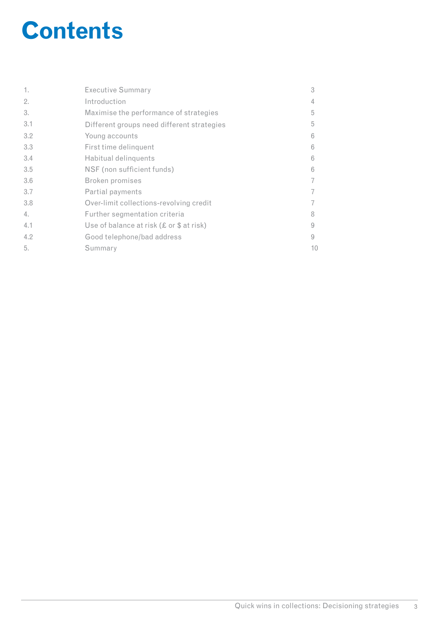### **Contents**

| 1.  | <b>Executive Summary</b>                    | 3  |
|-----|---------------------------------------------|----|
| 2.  | Introduction                                | 4  |
| 3.  | Maximise the performance of strategies      | 5  |
| 3.1 | Different groups need different strategies  | 5  |
| 3.2 | Young accounts                              | 6  |
| 3.3 | First time delinquent                       | 6  |
| 3.4 | Habitual delinquents                        | 6  |
| 3.5 | NSF (non sufficient funds)                  | 6  |
| 3.6 | Broken promises                             | 7  |
| 3.7 | Partial payments                            | 7  |
| 3.8 | Over-limit collections-revolving credit     | 7  |
| 4.  | Further segmentation criteria               | 8  |
| 4.1 | Use of balance at risk $(E$ or $$$ at risk) | 9  |
| 4.2 | Good telephone/bad address                  | 9  |
| 5.  | Summary                                     | 10 |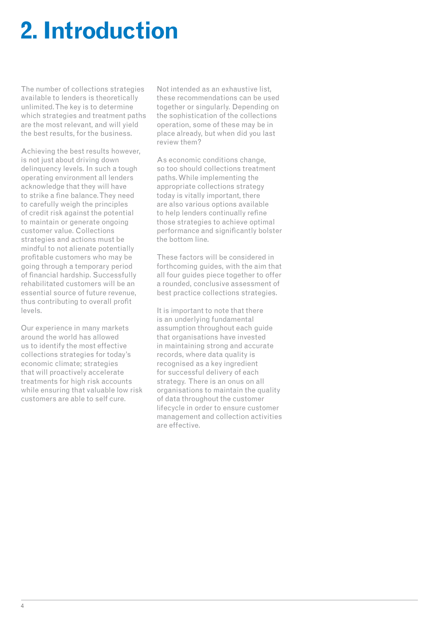### **2. Introduction**

The number of collections strategies available to lenders is theoretically unlimited. The key is to determine which strategies and treatment paths are the most relevant, and will yield the best results, for the business.

Achieving the best results however, is not just about driving down delinquency levels. In such a tough operating environment all lenders acknowledge that they will have to strike a fine balance. They need to carefully weigh the principles of credit risk against the potential to maintain or generate ongoing customer value. Collections strategies and actions must be mindful to not alienate potentially profitable customers who may be going through a temporary period of financial hardship. Successfully rehabilitated customers will be an essential source of future revenue, thus contributing to overall profit levels.

Our experience in many markets around the world has allowed us to identify the most effective collections strategies for today's economic climate; strategies that will proactively accelerate treatments for high risk accounts while ensuring that valuable low risk customers are able to self cure.

Not intended as an exhaustive list, these recommendations can be used together or singularly. Depending on the sophistication of the collections operation, some of these may be in place already, but when did you last review them?

As economic conditions change. so too should collections treatment paths. While implementing the appropriate collections strategy today is vitally important, there are also various options available to help lenders continually refine those strategies to achieve optimal performance and significantly bolster the bottom line.

These factors will be considered in forthcoming guides, with the aim that all four guides piece together to offer a rounded, conclusive assessment of best practice collections strategies.

It is important to note that there is an underlying fundamental assumption throughout each guide that organisations have invested in maintaining strong and accurate records, where data quality is recognised as a key ingredient for successful delivery of each strategy. There is an onus on all organisations to maintain the quality of data throughout the customer lifecycle in order to ensure customer management and collection activities are effective.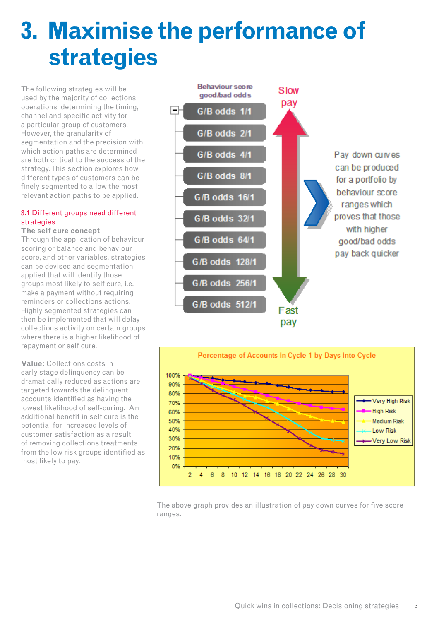### **3. Maximise the performance of strategies**

The following strategies will be used by the majority of collections operations, determining the timing, channel and specific activity for a particular group of customers. However, the granularity of segmentation and the precision with which action paths are determined are both critical to the success of the strategy. This section explores how different types of customers can be finely segmented to allow the most relevant action paths to be applied.

#### 3.1 Different groups need different strategies

### **The self cure concept**

Through the application of behaviour scoring or balance and behaviour score, and other variables, strategies can be devised and segmentation applied that will identify those groups most likely to self cure, i.e. make a payment without requiring reminders or collections actions. Highly segmented strategies can then be implemented that will delay collections activity on certain groups where there is a higher likelihood of repayment or self cure.

**Value:** Collections costs in early stage delinquency can be dramatically reduced as actions are targeted towards the delinquent accounts identified as having the lowest likelihood of self-curing. An additional benefit in self cure is the potential for increased levels of customer satisfaction as a result of removing collections treatments from the low risk groups identified as most likely to pay.





The above graph provides an illustration of pay down curves for five score ranges.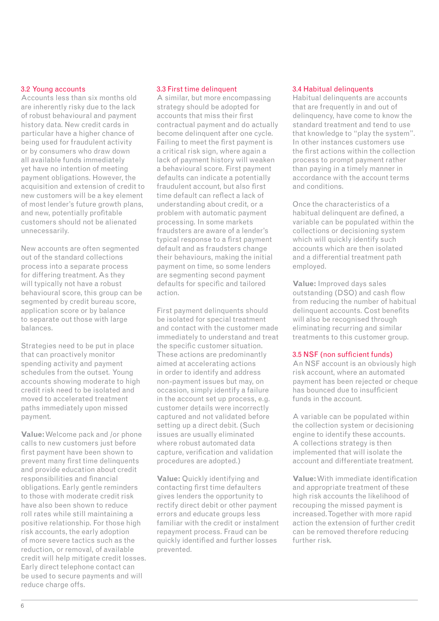#### 3.2 Young accounts

Accounts less than six months old are inherently risky due to the lack of robust behavioural and payment history data. New credit cards in particular have a higher chance of being used for fraudulent activity or by consumers who draw down all available funds immediately yet have no intention of meeting payment obligations. However, the acquisition and extension of credit to new customers will be a key element of most lender's future growth plans, and new, potentially profitable customers should not be alienated unnecessarily.

New accounts are often segmented out of the standard collections process into a separate process for differing treatment. As they will typically not have a robust behavioural score, this group can be segmented by credit bureau score, application score or by balance to separate out those with large balances.

Strategies need to be put in place that can proactively monitor spending activity and payment schedules from the outset. Young accounts showing moderate to high credit risk need to be isolated and moved to accelerated treatment paths immediately upon missed payment.

**Value:** Welcome pack and /or phone calls to new customers just before first payment have been shown to prevent many first time delinquents and provide education about credit responsibilities and financial obligations. Early gentle reminders to those with moderate credit risk have also been shown to reduce roll rates while still maintaining a positive relationship. For those high risk accounts, the early adoption of more severe tactics such as the reduction, or removal, of available credit will help mitigate credit losses. Early direct telephone contact can be used to secure payments and will reduce charge offs.

#### 3.3 First time delinquent

A similar, but more encompassing strategy should be adopted for accounts that miss their first contractual payment and do actually become delinquent after one cycle. Failing to meet the first payment is a critical risk sign, where again a lack of payment history will weaken a behavioural score. First payment defaults can indicate a potentially fraudulent account, but also first time default can reflect a lack of understanding about credit, or a problem with automatic payment processing. In some markets fraudsters are aware of a lender's typical response to a first payment default and as fraudsters change their behaviours, making the initial payment on time, so some lenders are segmenting second payment defaults for specific and tailored action.

First payment delinquents should be isolated for special treatment and contact with the customer made immediately to understand and treat the specific customer situation. These actions are predominantly aimed at accelerating actions in order to identify and address non-payment issues but may, on occasion, simply identify a failure in the account set up process, e.g. customer details were incorrectly captured and not validated before setting up a direct debit. (Such issues are usually eliminated where robust automated data capture, verification and validation procedures are adopted.)

**Value:** Quickly identifying and contacting first time defaulters gives lenders the opportunity to rectify direct debit or other payment errors and educate groups less familiar with the credit or instalment repayment process. Fraud can be quickly identified and further losses prevented.

#### 3.4 Habitual delinquents

Habitual delinquents are accounts that are frequently in and out of delinquency, have come to know the standard treatment and tend to use that knowledge to "play the system". In other instances customers use the first actions within the collection process to prompt payment rather than paying in a timely manner in accordance with the account terms and conditions.

Once the characteristics of a habitual delinquent are defined, a variable can be populated within the collections or decisioning system which will quickly identify such accounts which are then isolated and a differential treatment path employed.

**Value:** Improved days sales outstanding (DSO) and cash flow from reducing the number of habitual delinquent accounts. Cost benefits will also be recognised through eliminating recurring and similar treatments to this customer group.

#### 3.5 NSF (non sufficient funds)

An NSF account is an obviously high risk account, where an automated payment has been rejected or cheque has bounced due to insufficient funds in the account.

A variable can be populated within the collection system or decisioning engine to identify these accounts. A collections strategy is then implemented that will isolate the account and differentiate treatment.

**Value:** With immediate identification and appropriate treatment of these high risk accounts the likelihood of recouping the missed payment is increased. Together with more rapid action the extension of further credit can be removed therefore reducing further risk.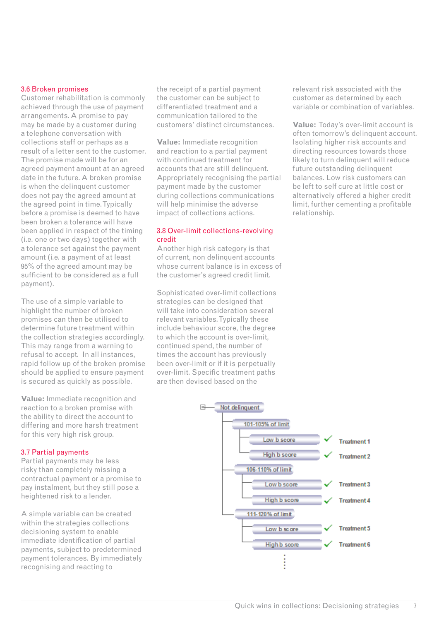#### 3.6 Broken promises

Customer rehabilitation is commonly achieved through the use of payment arrangements. A promise to pay may be made by a customer during a telephone conversation with collections staff or perhaps as a result of a letter sent to the customer. The promise made will be for an agreed payment amount at an agreed date in the future. A broken promise is when the delinquent customer does not pay the agreed amount at the agreed point in time. Typically before a promise is deemed to have been broken a tolerance will have been applied in respect of the timing (i.e. one or two days) together with a tolerance set against the payment amount (i.e. a payment of at least 95% of the agreed amount may be sufficient to be considered as a full payment).

The use of a simple variable to highlight the number of broken promises can then be utilised to determine future treatment within the collection strategies accordingly. This may range from a warning to refusal to accept. In all instances, rapid follow up of the broken promise should be applied to ensure payment is secured as quickly as possible.

**Value:** Immediate recognition and reaction to a broken promise with the ability to direct the account to differing and more harsh treatment for this very high risk group.

#### 3.7 Partial payments

Partial payments may be less risky than completely missing a contractual payment or a promise to pay instalment, but they still pose a heightened risk to a lender.

A simple variable can be created within the strategies collections decisioning system to enable immediate identification of partial payments, subject to predetermined payment tolerances. By immediately recognising and reacting to

the receipt of a partial payment the customer can be subject to differentiated treatment and a communication tailored to the customers' distinct circumstances.

**Value:** Immediate recognition and reaction to a partial payment with continued treatment for accounts that are still delinquent. Appropriately recognising the partial payment made by the customer during collections communications will help minimise the adverse impact of collections actions.

#### 3.8 Over-limit collections-revolving credit

Another high risk category is that of current, non delinquent accounts whose current balance is in excess of the customer's agreed credit limit.

Sophisticated over-limit collections strategies can be designed that will take into consideration several relevant variables. Typically these include behaviour score, the degree to which the account is over-limit, continued spend, the number of times the account has previously been over-limit or if it is perpetually over-limit. Specific treatment paths are then devised based on the

relevant risk associated with the customer as determined by each variable or combination of variables.

**Value:** Today's over-limit account is often tomorrow's delinquent account. Isolating higher risk accounts and directing resources towards those likely to turn delinquent will reduce future outstanding delinquent balances. Low risk customers can be left to self cure at little cost or alternatively offered a higher credit limit, further cementing a profitable relationship.

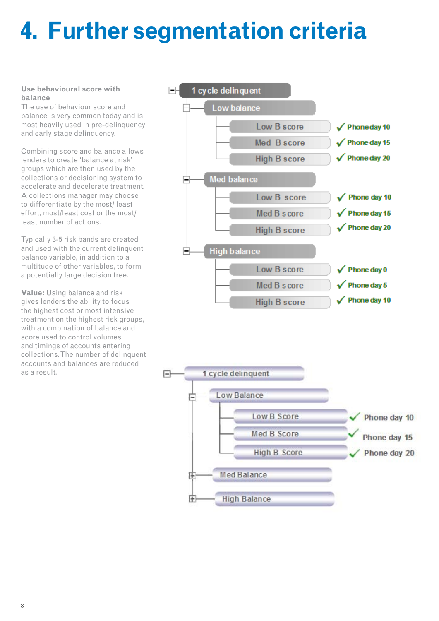## **4. Further segmentation criteria**

#### **Use behavioural score with balance**

The use of behaviour score and balance is very common today and is most heavily used in pre-delinquency and early stage delinquency.

Combining score and balance allows lenders to create 'balance at risk' groups which are then used by the collections or decisioning system to accelerate and decelerate treatment. A collections manager may choose to differentiate by the most/ least effort, most/least cost or the most/ least number of actions.

Typically 3-5 risk bands are created and used with the current delinquent balance variable, in addition to a multitude of other variables, to form a potentially large decision tree.

**Value:** Using balance and risk gives lenders the ability to focus the highest cost or most intensive treatment on the highest risk groups, with a combination of balance and score used to control volumes and timings of accounts entering collections. The number of delinquent accounts and balances are reduced as a result.



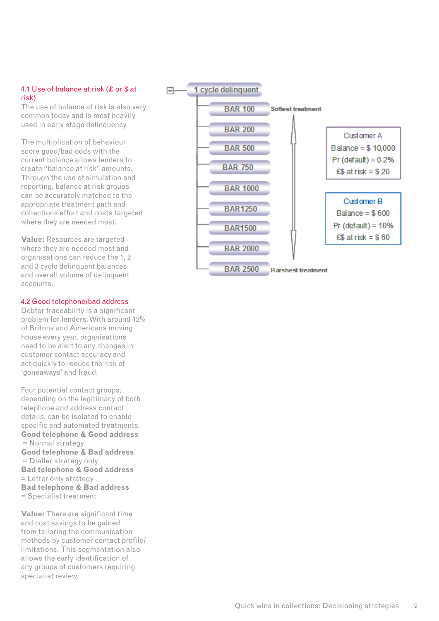#### 4.1 Use of balance at risk (£ or \$ at risk)

The use of balance at risk is also very common today and is most heavily used in early stage delinquency.

The multiplication of behaviour score good/bad odds with the current balance allows lenders to create "balance at risk" amounts. Through the use of simulation and reporting, balance at risk groups can be accurately matched to the appropriate treatment path and collections effort and costs targeted where they are needed most.

**Value:** Resources are targeted where they are needed most and organisations can reduce the 1, 2 and 3 cycle delinquent balances and overall volume of delinquent accounts.

#### 4.2 Good telephone/bad address

Debtor traceability is a significant problem for lenders. With around 12% of Britons and Americans moving house every year, organisations need to be alert to any changes in customer contact accuracy and act quickly to reduce the risk of 'goneaways' and fraud.

Four potential contact groups, depending on the legitimacy of both telephone and address contact details, can be isolated to enable specific and automated treatments. **Good telephone & Good address** = Normal strategy **Good telephone & Bad address** = Dialler strategy only **Bad telephone & Good address** = Letter only strategy **Bad telephone & Bad address** = Specialist treatment

**Value:** There are significant time and cost savings to be gained from tailoring the communication methods by customer contact profile/ limitations. This segmentation also allows the early identification of any groups of customers requiring specialist review.

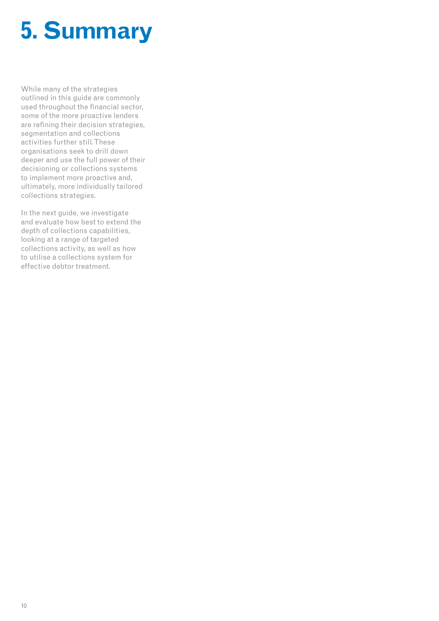## **5. Summary**

While many of the strategies outlined in this guide are commonly used throughout the financial sector, some of the more proactive lenders are refining their decision strategies, segmentation and collections activities further still. These organisations seek to drill down deeper and use the full power of their decisioning or collections systems to implement more proactive and, ultimately, more individually tailored collections strategies.

In the next guide, we investigate and evaluate how best to extend the depth of collections capabilities, looking at a range of targeted collections activity, as well as how to utilise a collections system for effective debtor treatment.